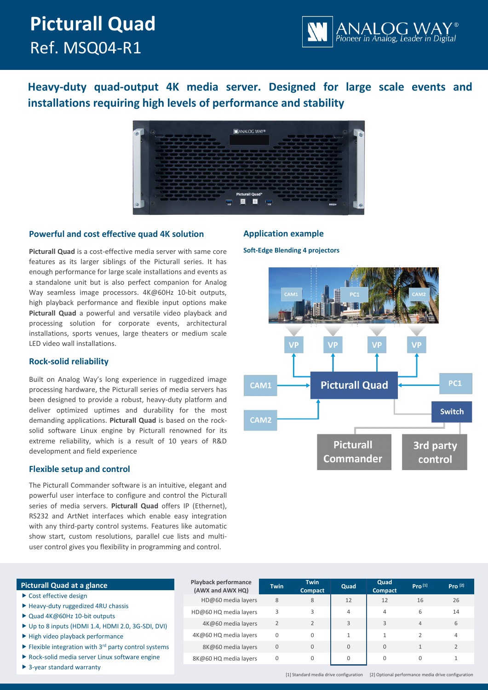# **Picturall Quad** Ref. MSQ04-R1



**Heavy-duty quad-output 4K media server. Designed for large scale events and installations requiring high levels of performance and stability**



# **Powerful and cost effective quad 4K solution**

**Picturall Quad** is a cost-effective media server with same core features as its larger siblings of the Picturall series. It has enough performance for large scale installations and events as a standalone unit but is also perfect companion for Analog Way seamless image processors. 4K@60Hz 10-bit outputs, high playback performance and flexible input options make **Picturall Quad** a powerful and versatile video playback and processing solution for corporate events, architectural installations, sports venues, large theaters or medium scale LED video wall installations.

# **Rock-solid reliability**

Built on Analog Way's long experience in ruggedized image processing hardware, the Picturall series of media servers has been designed to provide a robust, heavy-duty platform and deliver optimized uptimes and durability for the most demanding applications. **Picturall Quad** is based on the rocksolid software Linux engine by Picturall renowned for its extreme reliability, which is a result of 10 years of R&D development and field experience

# **Flexible setup and control**

The Picturall Commander software is an intuitive, elegant and powerful user interface to configure and control the Picturall series of media servers. **Picturall Quad** offers IP (Ethernet), RS232 and ArtNet interfaces which enable easy integration with any third-party control systems. Features like automatic show start, custom resolutions, parallel cue lists and multiuser control gives you flexibility in programming and control.

# **Application example**

**Soft-Edge Blending 4 projectors**



# **Picturall Quad at a glance** ▶ Cost effective design

- $\blacktriangleright$  Heavy-duty ruggedized 4RU chassis
- ▶ Quad 4K@60Hz 10-bit outputs
- $\triangleright$  Up to 8 inputs (HDMI 1.4, HDMI 2.0, 3G-SD
- $\blacktriangleright$  High video playback performance
- $\blacktriangleright$  Flexible integration with 3<sup>rd</sup> party control systems
- $\blacktriangleright$  Rock-solid media server Linux software eng
- ▶ 3-year standard warranty

|                | <b>Playback performance</b><br>(AWX and AWX HQ) | <b>Twin</b>  | <b>Twin</b><br><b>Compact</b> | Quad | Quad<br><b>Compact</b> | Pro <sup>[1]</sup> | Pro <sup>[2]</sup> |
|----------------|-------------------------------------------------|--------------|-------------------------------|------|------------------------|--------------------|--------------------|
|                | HD@60 media layers                              | 8            | 8                             | 12   | 12                     | 16                 | 26                 |
|                | HD@60 HQ media layers                           | 3            | 3                             | 4    | 4                      | 6                  | 14                 |
| II, DVI)       | 4K@60 media layers                              |              | 2                             | 3    | 3                      | $\overline{4}$     | 6                  |
|                | 4K@60 HQ media layers                           | 0            | $\Omega$                      |      |                        |                    | 4                  |
| vstems<br>zine | 8K@60 media layers                              | $\mathbf{0}$ | 0                             | 0    | $\mathbf{0}$           |                    | 2                  |
|                | 8K@60 HQ media layers                           | $\Omega$     | $\Omega$                      |      |                        | $\Omega$           |                    |